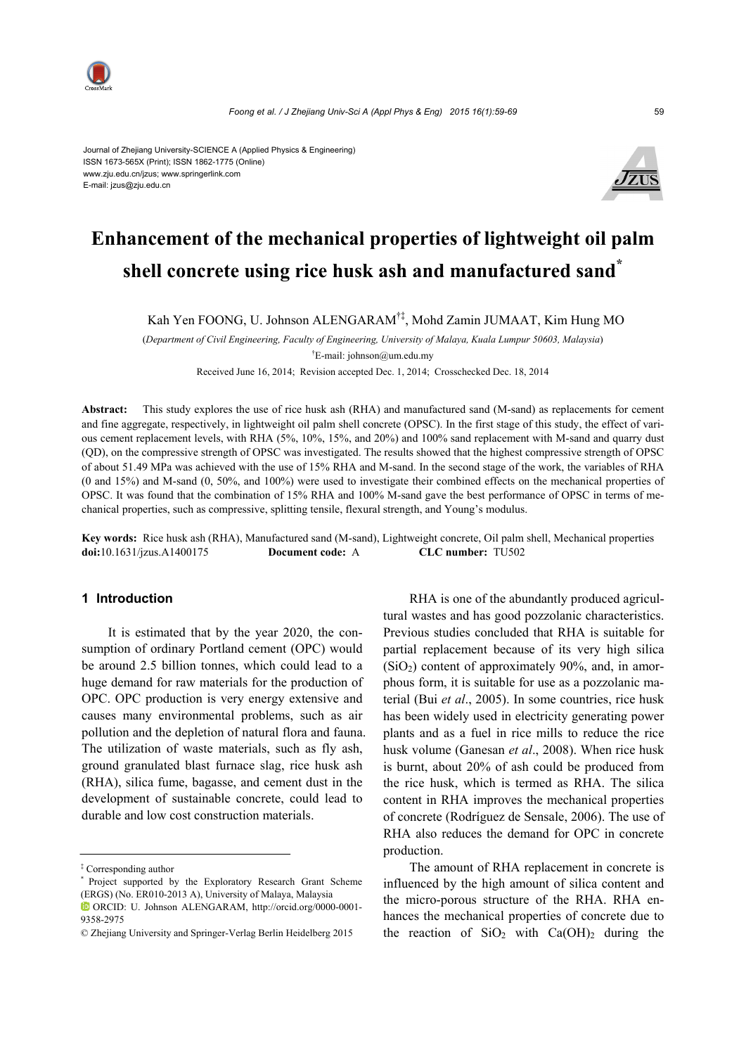

Journal of Zhejiang University-SCIENCE A (Applied Physics & Engineering) ISSN 1673-565X (Print); ISSN 1862-1775 (Online) www.zju.edu.cn/jzus; www.springerlink.com E-mail: jzus@zju.edu.cn



# **Enhancement of the mechanical properties of lightweight oil palm shell concrete using rice husk ash and manufactured sand\***

Kah Yen FOONG, U. Johnson ALENGARAM†‡, Mohd Zamin JUMAAT, Kim Hung MO

(*Department of Civil Engineering, Faculty of Engineering, University of Malaya, Kuala Lumpur 50603, Malaysia*) † E-mail: johnson@um.edu.my

Received June 16, 2014; Revision accepted Dec. 1, 2014; Crosschecked Dec. 18, 2014

**Abstract:** This study explores the use of rice husk ash (RHA) and manufactured sand (M-sand) as replacements for cement and fine aggregate, respectively, in lightweight oil palm shell concrete (OPSC). In the first stage of this study, the effect of various cement replacement levels, with RHA (5%, 10%, 15%, and 20%) and 100% sand replacement with M-sand and quarry dust (QD), on the compressive strength of OPSC was investigated. The results showed that the highest compressive strength of OPSC of about 51.49 MPa was achieved with the use of 15% RHA and M-sand. In the second stage of the work, the variables of RHA (0 and 15%) and M-sand (0, 50%, and 100%) were used to investigate their combined effects on the mechanical properties of OPSC. It was found that the combination of 15% RHA and 100% M-sand gave the best performance of OPSC in terms of mechanical properties, such as compressive, splitting tensile, flexural strength, and Young's modulus.

**Key words:** Rice husk ash (RHA), Manufactured sand (M-sand), Lightweight concrete, Oil palm shell, Mechanical properties **doi:**10.1631/jzus.A1400175 **Document code:** A **CLC number:** TU502

# **1 Introduction**

It is estimated that by the year 2020, the consumption of ordinary Portland cement (OPC) would be around 2.5 billion tonnes, which could lead to a huge demand for raw materials for the production of OPC. OPC production is very energy extensive and causes many environmental problems, such as air pollution and the depletion of natural flora and fauna. The utilization of waste materials, such as fly ash, ground granulated blast furnace slag, rice husk ash (RHA), silica fume, bagasse, and cement dust in the development of sustainable concrete, could lead to durable and low cost construction materials.

RHA is one of the abundantly produced agricultural wastes and has good pozzolanic characteristics. Previous studies concluded that RHA is suitable for partial replacement because of its very high silica  $(SiO<sub>2</sub>)$  content of approximately 90%, and, in amorphous form, it is suitable for use as a pozzolanic material (Bui *et al*., 2005). In some countries, rice husk has been widely used in electricity generating power plants and as a fuel in rice mills to reduce the rice husk volume (Ganesan *et al*., 2008). When rice husk is burnt, about 20% of ash could be produced from the rice husk, which is termed as RHA. The silica content in RHA improves the mechanical properties of concrete (Rodríguez de Sensale, 2006). The use of RHA also reduces the demand for OPC in concrete production.

The amount of RHA replacement in concrete is influenced by the high amount of silica content and the micro-porous structure of the RHA. RHA enhances the mechanical properties of concrete due to the reaction of  $SiO<sub>2</sub>$  with  $Ca(OH)<sub>2</sub>$  during the

<sup>‡</sup> Corresponding author

Project supported by the Exploratory Research Grant Scheme (ERGS) (No. ER010-2013 A), University of Malaya, Malaysia ORCID: U. Johnson ALENGARAM, http://orcid.org/0000-0001-

<sup>9358-2975</sup> © Zhejiang University and Springer-Verlag Berlin Heidelberg 2015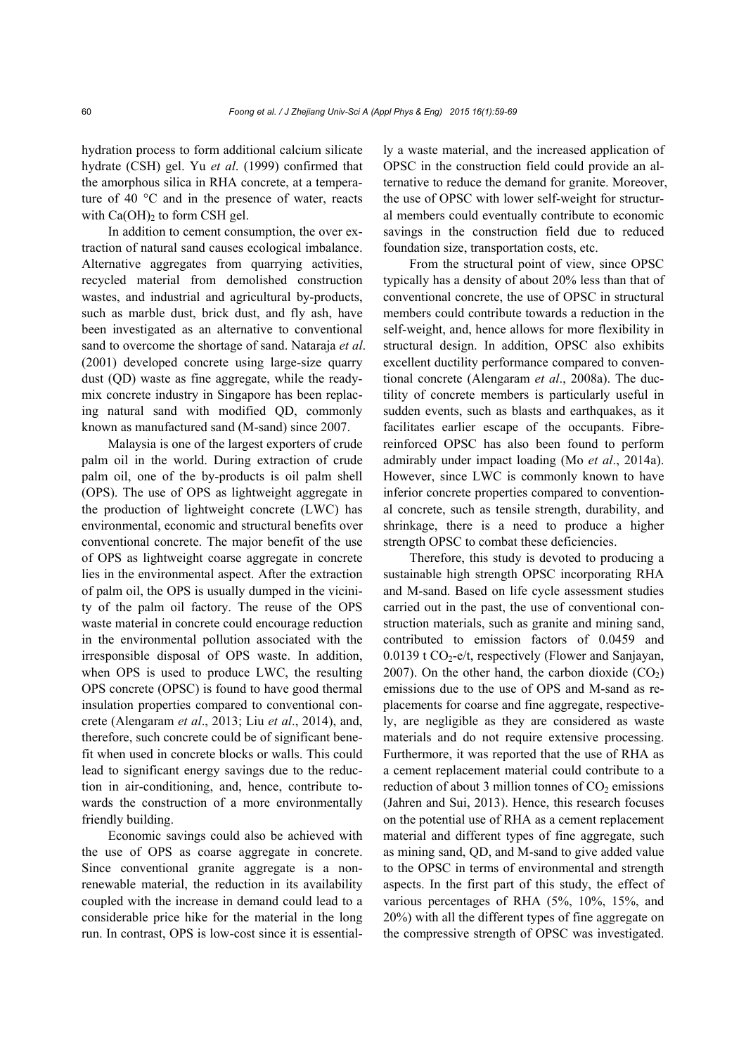hydration process to form additional calcium silicate hydrate (CSH) gel. Yu *et al*. (1999) confirmed that the amorphous silica in RHA concrete, at a temperature of 40 °C and in the presence of water, reacts with  $Ca(OH)_2$  to form CSH gel.

In addition to cement consumption, the over extraction of natural sand causes ecological imbalance. Alternative aggregates from quarrying activities, recycled material from demolished construction wastes, and industrial and agricultural by-products, such as marble dust, brick dust, and fly ash, have been investigated as an alternative to conventional sand to overcome the shortage of sand. Nataraja *et al*. (2001) developed concrete using large-size quarry dust (QD) waste as fine aggregate, while the readymix concrete industry in Singapore has been replacing natural sand with modified QD, commonly known as manufactured sand (M-sand) since 2007.

Malaysia is one of the largest exporters of crude palm oil in the world. During extraction of crude palm oil, one of the by-products is oil palm shell (OPS). The use of OPS as lightweight aggregate in the production of lightweight concrete (LWC) has environmental, economic and structural benefits over conventional concrete. The major benefit of the use of OPS as lightweight coarse aggregate in concrete lies in the environmental aspect. After the extraction of palm oil, the OPS is usually dumped in the vicinity of the palm oil factory. The reuse of the OPS waste material in concrete could encourage reduction in the environmental pollution associated with the irresponsible disposal of OPS waste. In addition, when OPS is used to produce LWC, the resulting OPS concrete (OPSC) is found to have good thermal insulation properties compared to conventional concrete (Alengaram *et al*., 2013; Liu *et al*., 2014), and, therefore, such concrete could be of significant benefit when used in concrete blocks or walls. This could lead to significant energy savings due to the reduction in air-conditioning, and, hence, contribute towards the construction of a more environmentally friendly building.

Economic savings could also be achieved with the use of OPS as coarse aggregate in concrete. Since conventional granite aggregate is a nonrenewable material, the reduction in its availability coupled with the increase in demand could lead to a considerable price hike for the material in the long run. In contrast, OPS is low-cost since it is essentially a waste material, and the increased application of OPSC in the construction field could provide an alternative to reduce the demand for granite. Moreover, the use of OPSC with lower self-weight for structural members could eventually contribute to economic savings in the construction field due to reduced foundation size, transportation costs, etc.

From the structural point of view, since OPSC typically has a density of about 20% less than that of conventional concrete, the use of OPSC in structural members could contribute towards a reduction in the self-weight, and, hence allows for more flexibility in structural design. In addition, OPSC also exhibits excellent ductility performance compared to conventional concrete (Alengaram *et al*., 2008a). The ductility of concrete members is particularly useful in sudden events, such as blasts and earthquakes, as it facilitates earlier escape of the occupants. Fibrereinforced OPSC has also been found to perform admirably under impact loading (Mo *et al*., 2014a). However, since LWC is commonly known to have inferior concrete properties compared to conventional concrete, such as tensile strength, durability, and shrinkage, there is a need to produce a higher strength OPSC to combat these deficiencies.

Therefore, this study is devoted to producing a sustainable high strength OPSC incorporating RHA and M-sand. Based on life cycle assessment studies carried out in the past, the use of conventional construction materials, such as granite and mining sand, contributed to emission factors of 0.0459 and  $0.0139$  t CO<sub>2</sub>-e/t, respectively (Flower and Sanjayan, 2007). On the other hand, the carbon dioxide  $(CO<sub>2</sub>)$ emissions due to the use of OPS and M-sand as replacements for coarse and fine aggregate, respectively, are negligible as they are considered as waste materials and do not require extensive processing. Furthermore, it was reported that the use of RHA as a cement replacement material could contribute to a reduction of about 3 million tonnes of  $CO<sub>2</sub>$  emissions (Jahren and Sui, 2013). Hence, this research focuses on the potential use of RHA as a cement replacement material and different types of fine aggregate, such as mining sand, QD, and M-sand to give added value to the OPSC in terms of environmental and strength aspects. In the first part of this study, the effect of various percentages of RHA (5%, 10%, 15%, and 20%) with all the different types of fine aggregate on the compressive strength of OPSC was investigated.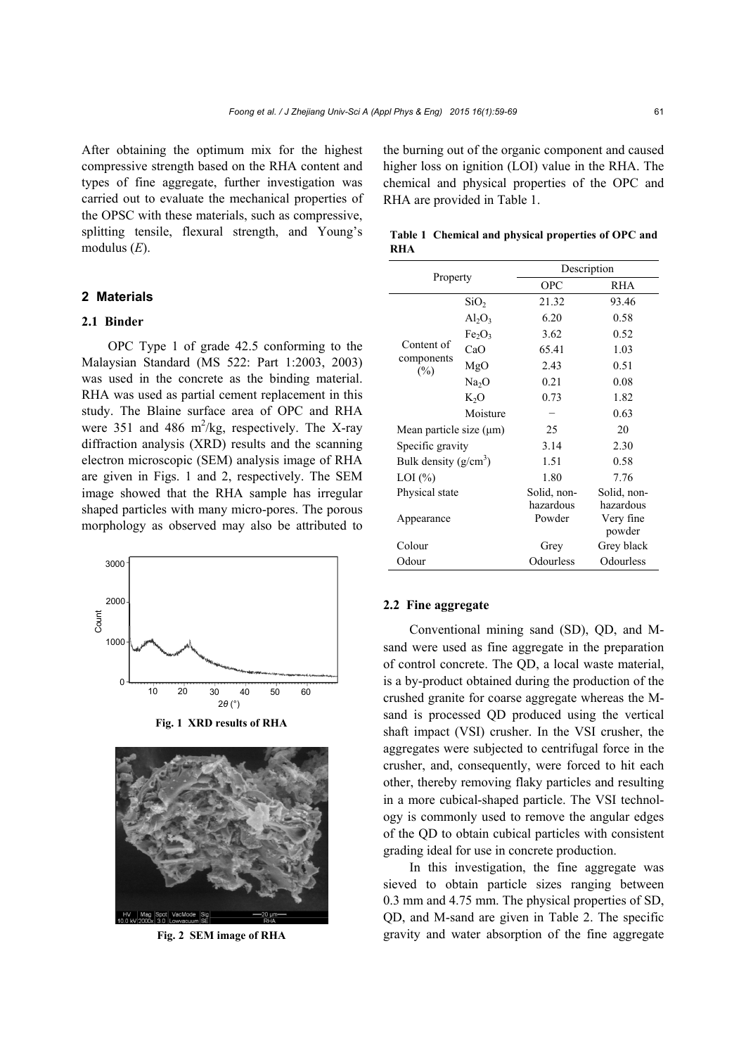After obtaining the optimum mix for the highest compressive strength based on the RHA content and types of fine aggregate, further investigation was carried out to evaluate the mechanical properties of the OPSC with these materials, such as compressive, splitting tensile, flexural strength, and Young's modulus (*E*).

# **2 Materials**

# **2.1 Binder**

OPC Type 1 of grade 42.5 conforming to the Malaysian Standard (MS 522: Part 1:2003, 2003) was used in the concrete as the binding material. RHA was used as partial cement replacement in this study. The Blaine surface area of OPC and RHA were 351 and 486  $m^2/kg$ , respectively. The X-ray diffraction analysis (XRD) results and the scanning electron microscopic (SEM) analysis image of RHA are given in Figs. 1 and 2, respectively. The SEM image showed that the RHA sample has irregular shaped particles with many micro-pores. The porous morphology as observed may also be attributed to





the burning out of the organic component and caused higher loss on ignition (LOI) value in the RHA. The chemical and physical properties of the OPC and RHA are provided in Table 1.

|     | Table 1 Chemical and physical properties of OPC and |
|-----|-----------------------------------------------------|
| RHA |                                                     |

| Property                     |                                | Description |                     |  |  |
|------------------------------|--------------------------------|-------------|---------------------|--|--|
|                              |                                | OPC         | <b>RHA</b>          |  |  |
|                              | SiO <sub>2</sub>               | 21.32       | 93.46               |  |  |
|                              | $Al_2O_3$                      | 6.20        | 0.58                |  |  |
|                              | Fe <sub>2</sub> O <sub>3</sub> | 3.62        | 0.52                |  |  |
| Content of                   | CaO                            | 65.41       | 1.03                |  |  |
| components<br>$(\%)$         | MgO                            | 2.43        | 0.51                |  |  |
|                              | Na <sub>2</sub> O              | 0.21        | 0.08                |  |  |
|                              | $K_2O$                         | 0.73        | 1.82                |  |  |
|                              | Moisture                       |             | 0.63                |  |  |
| Mean particle size $(\mu m)$ |                                | 25          | 20                  |  |  |
| Specific gravity             |                                | 3.14        | 2.30                |  |  |
| Bulk density $(g/cm^3)$      |                                | 1.51        | 0.58                |  |  |
| $LOI$ $(\% )$                |                                | 1.80        | 7.76                |  |  |
| Physical state               |                                | Solid, non- | Solid, non-         |  |  |
|                              |                                | hazardous   | hazardous           |  |  |
| Appearance                   |                                | Powder      | Very fine<br>powder |  |  |
| Colour                       |                                | Grey        | Grey black          |  |  |
| Odour                        |                                | Odourless   | Odourless           |  |  |

# **2.2 Fine aggregate**

Conventional mining sand (SD), QD, and Msand were used as fine aggregate in the preparation of control concrete. The QD, a local waste material, is a by-product obtained during the production of the crushed granite for coarse aggregate whereas the Msand is processed QD produced using the vertical shaft impact (VSI) crusher. In the VSI crusher, the aggregates were subjected to centrifugal force in the crusher, and, consequently, were forced to hit each other, thereby removing flaky particles and resulting in a more cubical-shaped particle. The VSI technology is commonly used to remove the angular edges of the QD to obtain cubical particles with consistent grading ideal for use in concrete production.

In this investigation, the fine aggregate was sieved to obtain particle sizes ranging between 0.3 mm and 4.75 mm. The physical properties of SD, QD, and M-sand are given in Table 2. The specific **Fig. 2 SEM image of RHA** gravity and water absorption of the fine aggregate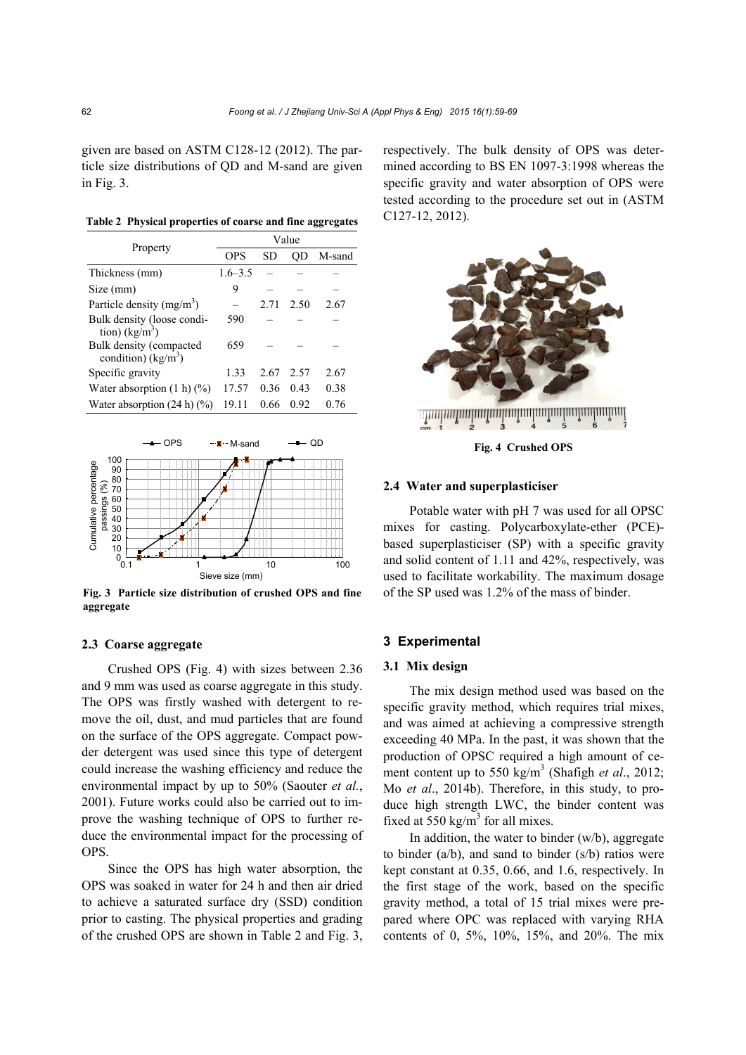given are based on ASTM C128-12 (2012). The particle size distributions of QD and M-sand are given in Fig. 3.

**Table 2 Physical properties of coarse and fine aggregates**

|                                                  | Value       |      |      |        |  |
|--------------------------------------------------|-------------|------|------|--------|--|
| Property                                         | <b>OPS</b>  | SD   | OD   | M-sand |  |
| Thickness (mm)                                   | $1.6 - 3.5$ |      |      |        |  |
| Size (mm)                                        | 9           |      |      |        |  |
| Particle density $(mg/m3)$                       |             | 2.71 | 2.50 | 2.67   |  |
| Bulk density (loose condi-<br>tion) $(kg/m^3)$   | 590         |      |      |        |  |
| Bulk density (compacted<br>condition) $(kg/m^3)$ | 659         |      |      |        |  |
| Specific gravity                                 | 1.33        | 2.67 | 2.57 | 2.67   |  |
| Water absorption $(1 h)(\%)$                     | 17.57       | 0.36 | 0.43 | 0.38   |  |
| Water absorption $(24 h)(\%)$                    | 19 11       | 0.66 | 0.92 | 0.76   |  |



**Fig. 3 Particle size distribution of crushed OPS and fine aggregate**

#### **2.3 Coarse aggregate**

Crushed OPS (Fig. 4) with sizes between 2.36 and 9 mm was used as coarse aggregate in this study. The OPS was firstly washed with detergent to remove the oil, dust, and mud particles that are found on the surface of the OPS aggregate. Compact powder detergent was used since this type of detergent could increase the washing efficiency and reduce the environmental impact by up to 50% (Saouter *et al.*, 2001). Future works could also be carried out to improve the washing technique of OPS to further reduce the environmental impact for the processing of OPS.

Since the OPS has high water absorption, the OPS was soaked in water for 24 h and then air dried to achieve a saturated surface dry (SSD) condition prior to casting. The physical properties and grading of the crushed OPS are shown in Table 2 and Fig. 3, respectively. The bulk density of OPS was determined according to BS EN 1097-3:1998 whereas the specific gravity and water absorption of OPS were tested according to the procedure set out in (ASTM C127-12, 2012).



**Fig. 4 Crushed OPS** 

#### **2.4 Water and superplasticiser**

Potable water with pH 7 was used for all OPSC mixes for casting. Polycarboxylate-ether (PCE) based superplasticiser (SP) with a specific gravity and solid content of 1.11 and 42%, respectively, was used to facilitate workability. The maximum dosage of the SP used was 1.2% of the mass of binder.

# **3 Experimental**

#### **3.1 Mix design**

The mix design method used was based on the specific gravity method, which requires trial mixes, and was aimed at achieving a compressive strength exceeding 40 MPa. In the past, it was shown that the production of OPSC required a high amount of cement content up to 550 kg/m<sup>3</sup> (Shafigh *et al.*, 2012; Mo *et al*., 2014b). Therefore, in this study, to produce high strength LWC, the binder content was fixed at 550 kg/ $m<sup>3</sup>$  for all mixes.

In addition, the water to binder  $(w/b)$ , aggregate to binder (a/b), and sand to binder (s/b) ratios were kept constant at 0.35, 0.66, and 1.6, respectively. In the first stage of the work, based on the specific gravity method, a total of 15 trial mixes were prepared where OPC was replaced with varying RHA contents of 0, 5%, 10%, 15%, and 20%. The mix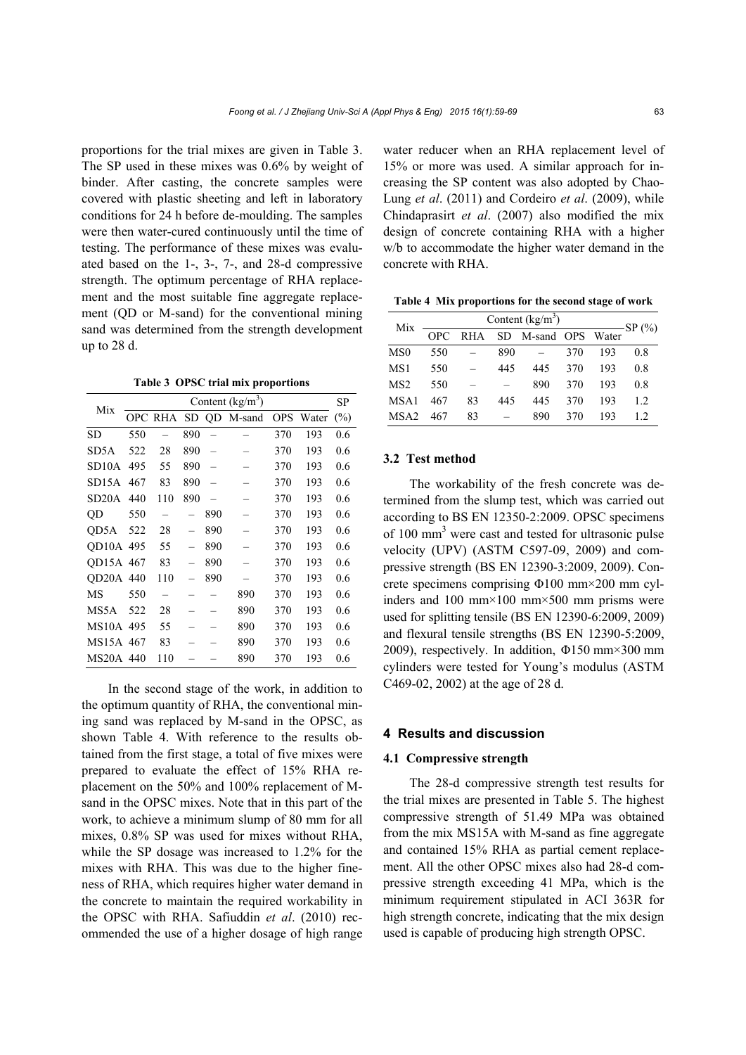proportions for the trial mixes are given in Table 3. The SP used in these mixes was 0.6% by weight of binder. After casting, the concrete samples were covered with plastic sheeting and left in laboratory conditions for 24 h before de-moulding. The samples were then water-cured continuously until the time of testing. The performance of these mixes was evaluated based on the 1-, 3-, 7-, and 28-d compressive strength. The optimum percentage of RHA replacement and the most suitable fine aggregate replacement (QD or M-sand) for the conventional mining sand was determined from the strength development up to 28 d.

**Table 3 OPSC trial mix proportions** 

| Mix                | Content $(kg/m3)$ |         |                          |     |           |            |       | SP     |
|--------------------|-------------------|---------|--------------------------|-----|-----------|------------|-------|--------|
|                    |                   | OPC RHA | SD.                      |     | QD M-sand | <b>OPS</b> | Water | $(\%)$ |
| SD                 | 550               |         | 890                      |     |           | 370        | 193   | 0.6    |
| SD5A               | 522               | 28      | 890                      |     |           | 370        | 193   | 0.6    |
| SD <sub>10</sub> A | 495               | 55      | 890                      |     |           | 370        | 193   | 0.6    |
| SD <sub>15</sub> A | 467               | 83      | 890                      |     |           | 370        | 193   | 0.6    |
| SD <sub>20</sub> A | 440               | 110     | 890                      |     |           | 370        | 193   | 0.6    |
| OD                 | 550               |         |                          | 890 |           | 370        | 193   | 0.6    |
| OD5A               | 522               | 28      |                          | 890 |           | 370        | 193   | 0.6    |
| OD10A 495          |                   | 55      | $\overline{\phantom{0}}$ | 890 |           | 370        | 193   | 0.6    |
| OD15A 467          |                   | 83      |                          | 890 |           | 370        | 193   | 0.6    |
| QD20A 440          |                   | 110     |                          | 890 |           | 370        | 193   | 0.6    |
| MS                 | 550               |         |                          |     | 890       | 370        | 193   | 0.6    |
| MS5A               | 522               | 28      |                          |     | 890       | 370        | 193   | 0.6    |
| MS10A 495          |                   | 55      |                          |     | 890       | 370        | 193   | 0.6    |
| MS15A 467          |                   | 83      |                          |     | 890       | 370        | 193   | 0.6    |
| MS20A 440          |                   | 110     |                          |     | 890       | 370        | 193   | 0.6    |

In the second stage of the work, in addition to the optimum quantity of RHA, the conventional mining sand was replaced by M-sand in the OPSC, as shown Table 4. With reference to the results obtained from the first stage, a total of five mixes were prepared to evaluate the effect of 15% RHA replacement on the 50% and 100% replacement of Msand in the OPSC mixes. Note that in this part of the work, to achieve a minimum slump of 80 mm for all mixes, 0.8% SP was used for mixes without RHA, while the SP dosage was increased to 1.2% for the mixes with RHA. This was due to the higher fineness of RHA, which requires higher water demand in the concrete to maintain the required workability in the OPSC with RHA. Safiuddin *et al*. (2010) recommended the use of a higher dosage of high range water reducer when an RHA replacement level of 15% or more was used. A similar approach for increasing the SP content was also adopted by Chao-Lung *et al*. (2011) and Cordeiro *et al*. (2009), while Chindaprasirt *et al*. (2007) also modified the mix design of concrete containing RHA with a higher w/b to accommodate the higher water demand in the concrete with RHA.

**Table 4 Mix proportions for the second stage of work**

| Mix              | Content $(kg/m3)$ |            |           |        |            |       |       |
|------------------|-------------------|------------|-----------|--------|------------|-------|-------|
|                  | <b>OPC</b>        | <b>RHA</b> | <b>SD</b> | M-sand | <b>OPS</b> | Water | SP(%) |
| MS <sub>0</sub>  | 550               |            | 890       |        | 370        | 193   | 0.8   |
| MS1              | 550               |            | 445       | 445    | 370        | 193   | 0.8   |
| MS <sub>2</sub>  | 550               |            |           | 890    | 370        | 193   | 0.8   |
| MSA1             | 467               | 83         | 445       | 445    | 370        | 193   | 1.2   |
| MSA <sub>2</sub> | 467               | 83         |           | 890    | 370        | 193   | 12    |

# **3.2 Test method**

The workability of the fresh concrete was determined from the slump test, which was carried out according to BS EN 12350-2:2009. OPSC specimens of  $100 \text{ mm}^3$  were cast and tested for ultrasonic pulse velocity (UPV) (ASTM C597-09, 2009) and compressive strength (BS EN 12390-3:2009, 2009). Concrete specimens comprising Φ100 mm×200 mm cylinders and 100 mm×100 mm×500 mm prisms were used for splitting tensile (BS EN 12390-6:2009, 2009) and flexural tensile strengths (BS EN 12390-5:2009, 2009), respectively. In addition, Φ150 mm×300 mm cylinders were tested for Young's modulus (ASTM C469-02, 2002) at the age of 28 d.

## **4 Results and discussion**

#### **4.1 Compressive strength**

The 28-d compressive strength test results for the trial mixes are presented in Table 5. The highest compressive strength of 51.49 MPa was obtained from the mix MS15A with M-sand as fine aggregate and contained 15% RHA as partial cement replacement. All the other OPSC mixes also had 28-d compressive strength exceeding 41 MPa, which is the minimum requirement stipulated in ACI 363R for high strength concrete, indicating that the mix design used is capable of producing high strength OPSC.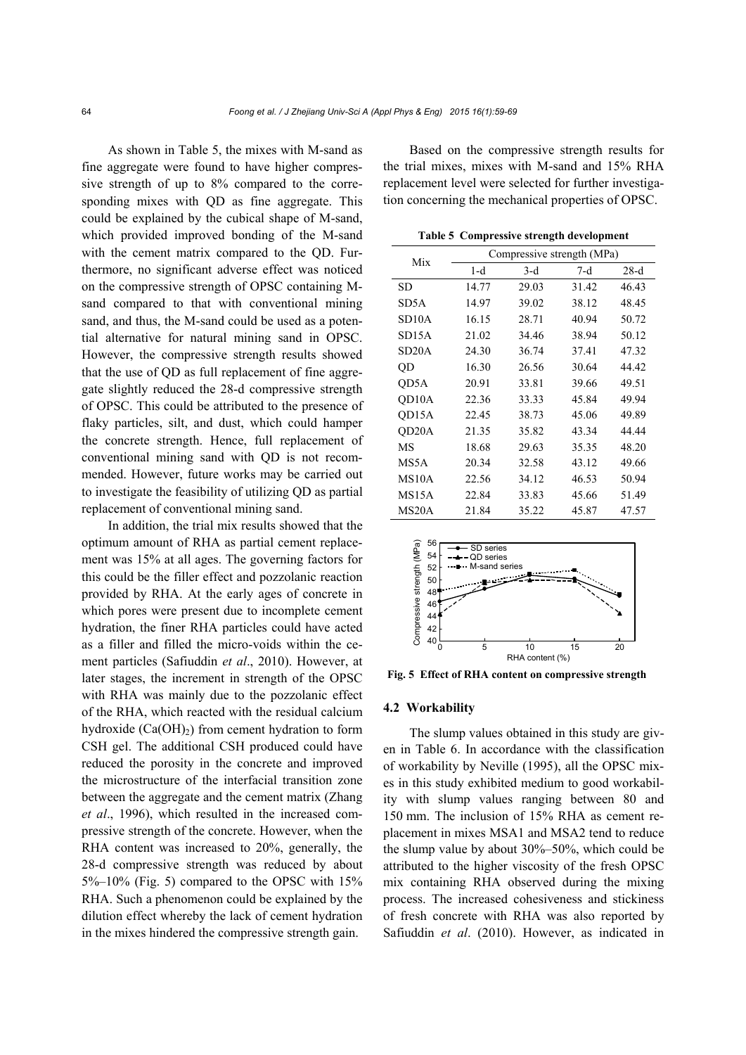As shown in Table 5, the mixes with M-sand as fine aggregate were found to have higher compressive strength of up to 8% compared to the corresponding mixes with QD as fine aggregate. This could be explained by the cubical shape of M-sand, which provided improved bonding of the M-sand with the cement matrix compared to the QD. Furthermore, no significant adverse effect was noticed on the compressive strength of OPSC containing Msand compared to that with conventional mining sand, and thus, the M-sand could be used as a potential alternative for natural mining sand in OPSC. However, the compressive strength results showed that the use of QD as full replacement of fine aggregate slightly reduced the 28-d compressive strength of OPSC. This could be attributed to the presence of flaky particles, silt, and dust, which could hamper the concrete strength. Hence, full replacement of conventional mining sand with QD is not recommended. However, future works may be carried out to investigate the feasibility of utilizing QD as partial replacement of conventional mining sand.

In addition, the trial mix results showed that the optimum amount of RHA as partial cement replacement was 15% at all ages. The governing factors for this could be the filler effect and pozzolanic reaction provided by RHA. At the early ages of concrete in which pores were present due to incomplete cement hydration, the finer RHA particles could have acted as a filler and filled the micro-voids within the cement particles (Safiuddin *et al*., 2010). However, at later stages, the increment in strength of the OPSC with RHA was mainly due to the pozzolanic effect of the RHA, which reacted with the residual calcium hydroxide  $(Ca(OH)_2)$  from cement hydration to form CSH gel. The additional CSH produced could have reduced the porosity in the concrete and improved the microstructure of the interfacial transition zone between the aggregate and the cement matrix (Zhang *et al*., 1996), which resulted in the increased compressive strength of the concrete. However, when the RHA content was increased to 20%, generally, the 28-d compressive strength was reduced by about  $5\%$ –10% (Fig. 5) compared to the OPSC with  $15\%$ RHA. Such a phenomenon could be explained by the dilution effect whereby the lack of cement hydration in the mixes hindered the compressive strength gain.

Based on the compressive strength results for the trial mixes, mixes with M-sand and 15% RHA replacement level were selected for further investigation concerning the mechanical properties of OPSC.

**Table 5 Compressive strength development** 

| Mix                |       | Compressive strength (MPa) |       |        |
|--------------------|-------|----------------------------|-------|--------|
|                    | 1-d   | $3-d$                      | 7-d   | $28-d$ |
| SD                 | 14.77 | 29.03                      | 31.42 | 46.43  |
| SD5A               | 14.97 | 39.02                      | 38.12 | 48.45  |
| SD10A              | 16.15 | 28.71                      | 40.94 | 50.72  |
| SD15A              | 21.02 | 34.46                      | 38.94 | 50.12  |
| SD <sub>20</sub> A | 24.30 | 36.74                      | 37.41 | 47.32  |
| OD                 | 16.30 | 26.56                      | 30.64 | 44.42  |
| OD5A               | 20.91 | 33.81                      | 39.66 | 49.51  |
| OD <sub>10</sub> A | 22.36 | 33.33                      | 45.84 | 49.94  |
| QD15A              | 22.45 | 38.73                      | 45.06 | 49.89  |
| QD20A              | 21.35 | 35.82                      | 43.34 | 44.44  |
| MS                 | 18.68 | 29.63                      | 35.35 | 48.20  |
| MS5A               | 20.34 | 32.58                      | 43.12 | 49.66  |
| MS <sub>10</sub> A | 22.56 | 34.12                      | 46.53 | 50.94  |
| MS15A              | 22.84 | 33.83                      | 45.66 | 51.49  |
| MS <sub>20</sub> A | 21.84 | 35.22                      | 45.87 | 47.57  |



**Fig. 5 Effect of RHA content on compressive strength** 

## **4.2 Workability**

The slump values obtained in this study are given in Table 6. In accordance with the classification of workability by Neville (1995), all the OPSC mixes in this study exhibited medium to good workability with slump values ranging between 80 and 150 mm. The inclusion of 15% RHA as cement replacement in mixes MSA1 and MSA2 tend to reduce the slump value by about 30%–50%, which could be attributed to the higher viscosity of the fresh OPSC mix containing RHA observed during the mixing process. The increased cohesiveness and stickiness of fresh concrete with RHA was also reported by Safiuddin *et al*. (2010). However, as indicated in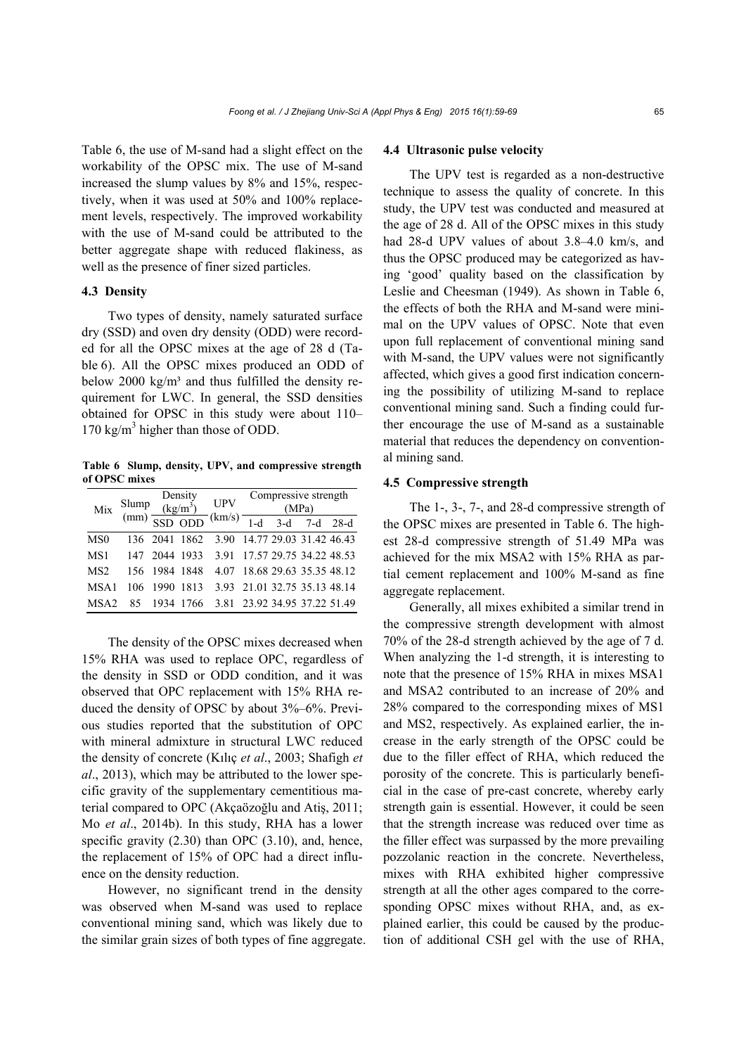Table 6, the use of M-sand had a slight effect on the workability of the OPSC mix. The use of M-sand increased the slump values by 8% and 15%, respectively, when it was used at 50% and 100% replacement levels, respectively. The improved workability with the use of M-sand could be attributed to the better aggregate shape with reduced flakiness, as well as the presence of finer sized particles.

#### **4.3 Density**

Two types of density, namely saturated surface dry (SSD) and oven dry density (ODD) were recorded for all the OPSC mixes at the age of 28 d (Table 6). All the OPSC mixes produced an ODD of below 2000 kg/m<sup>3</sup> and thus fulfilled the density requirement for LWC. In general, the SSD densities obtained for OPSC in this study were about 110– 170 kg/m<sup>3</sup> higher than those of ODD.

**Table 6 Slump, density, UPV, and compressive strength of OPSC mixes** 

| Mix              |     |          |               | Slump Density<br>(mm) $\frac{(kg/m^3)}{SSD \text{ ODD}}$ (km/s) $\frac{(MPa)}{1-d}$ 3-d 7-d 28-d |  |                              |  |
|------------------|-----|----------|---------------|--------------------------------------------------------------------------------------------------|--|------------------------------|--|
|                  |     |          |               |                                                                                                  |  |                              |  |
| MS <sub>0</sub>  |     | 136 2041 | 1862          |                                                                                                  |  | 3.90 14.77 29.03 31.42 46.43 |  |
| MS1              |     |          |               | 147 2044 1933 3.91 17.57 29.75 34.22 48.53                                                       |  |                              |  |
| MS2              |     |          | 156 1984 1848 |                                                                                                  |  | 4.07 18.68 29.63 35.35 48.12 |  |
| MSA1             | 106 | 1990     |               | 1813 3.93 21.01 32.75 35.13 48.14                                                                |  |                              |  |
| MSA <sub>2</sub> | 85. |          | 1934 1766     |                                                                                                  |  | 3.81 23.92 34.95 37.22 51.49 |  |

The density of the OPSC mixes decreased when 15% RHA was used to replace OPC, regardless of the density in SSD or ODD condition, and it was observed that OPC replacement with 15% RHA reduced the density of OPSC by about 3%–6%. Previous studies reported that the substitution of OPC with mineral admixture in structural LWC reduced the density of concrete (Kılıç *et al*., 2003; Shafigh *et al*., 2013), which may be attributed to the lower specific gravity of the supplementary cementitious material compared to OPC (Akçaözoğlu and Atiş, 2011; Mo *et al*., 2014b). In this study, RHA has a lower specific gravity (2.30) than OPC (3.10), and, hence, the replacement of 15% of OPC had a direct influence on the density reduction.

However, no significant trend in the density was observed when M-sand was used to replace conventional mining sand, which was likely due to the similar grain sizes of both types of fine aggregate.

#### **4.4 Ultrasonic pulse velocity**

The UPV test is regarded as a non-destructive technique to assess the quality of concrete. In this study, the UPV test was conducted and measured at the age of 28 d. All of the OPSC mixes in this study had 28-d UPV values of about 3.8–4.0 km/s, and thus the OPSC produced may be categorized as having 'good' quality based on the classification by Leslie and Cheesman (1949). As shown in Table 6, the effects of both the RHA and M-sand were minimal on the UPV values of OPSC. Note that even upon full replacement of conventional mining sand with M-sand, the UPV values were not significantly affected, which gives a good first indication concerning the possibility of utilizing M-sand to replace conventional mining sand. Such a finding could further encourage the use of M-sand as a sustainable material that reduces the dependency on conventional mining sand.

#### **4.5 Compressive strength**

The 1-, 3-, 7-, and 28-d compressive strength of the OPSC mixes are presented in Table 6. The highest 28-d compressive strength of 51.49 MPa was achieved for the mix MSA2 with 15% RHA as partial cement replacement and 100% M-sand as fine aggregate replacement.

Generally, all mixes exhibited a similar trend in the compressive strength development with almost 70% of the 28-d strength achieved by the age of 7 d. When analyzing the 1-d strength, it is interesting to note that the presence of 15% RHA in mixes MSA1 and MSA2 contributed to an increase of 20% and 28% compared to the corresponding mixes of MS1 and MS2, respectively. As explained earlier, the increase in the early strength of the OPSC could be due to the filler effect of RHA, which reduced the porosity of the concrete. This is particularly beneficial in the case of pre-cast concrete, whereby early strength gain is essential. However, it could be seen that the strength increase was reduced over time as the filler effect was surpassed by the more prevailing pozzolanic reaction in the concrete. Nevertheless, mixes with RHA exhibited higher compressive strength at all the other ages compared to the corresponding OPSC mixes without RHA, and, as explained earlier, this could be caused by the production of additional CSH gel with the use of RHA,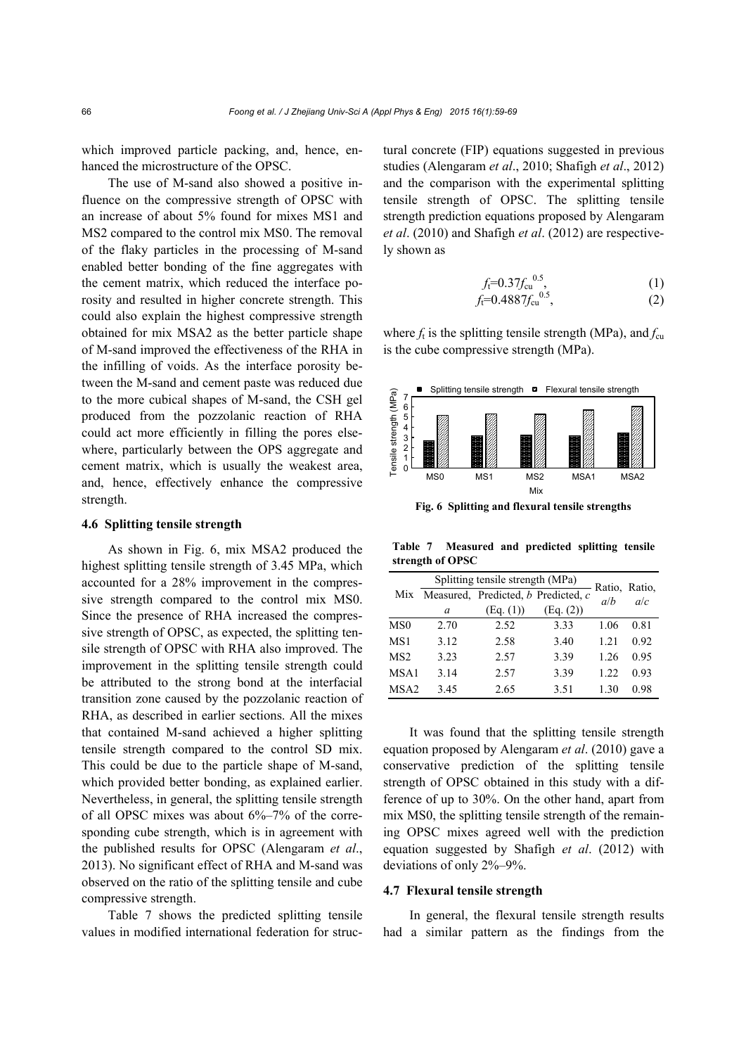which improved particle packing, and, hence, enhanced the microstructure of the OPSC.

The use of M-sand also showed a positive influence on the compressive strength of OPSC with an increase of about 5% found for mixes MS1 and MS2 compared to the control mix MS0. The removal of the flaky particles in the processing of M-sand enabled better bonding of the fine aggregates with the cement matrix, which reduced the interface porosity and resulted in higher concrete strength. This could also explain the highest compressive strength obtained for mix MSA2 as the better particle shape of M-sand improved the effectiveness of the RHA in the infilling of voids. As the interface porosity between the M-sand and cement paste was reduced due to the more cubical shapes of M-sand, the CSH gel produced from the pozzolanic reaction of RHA could act more efficiently in filling the pores elsewhere, particularly between the OPS aggregate and cement matrix, which is usually the weakest area, and, hence, effectively enhance the compressive strength.

#### **4.6 Splitting tensile strength**

As shown in Fig. 6, mix MSA2 produced the highest splitting tensile strength of 3.45 MPa, which accounted for a 28% improvement in the compressive strength compared to the control mix MS0. Since the presence of RHA increased the compressive strength of OPSC, as expected, the splitting tensile strength of OPSC with RHA also improved. The improvement in the splitting tensile strength could be attributed to the strong bond at the interfacial transition zone caused by the pozzolanic reaction of RHA, as described in earlier sections. All the mixes that contained M-sand achieved a higher splitting tensile strength compared to the control SD mix. This could be due to the particle shape of M-sand, which provided better bonding, as explained earlier. Nevertheless, in general, the splitting tensile strength of all OPSC mixes was about 6%–7% of the corresponding cube strength, which is in agreement with the published results for OPSC (Alengaram *et al*., 2013). No significant effect of RHA and M-sand was observed on the ratio of the splitting tensile and cube compressive strength.

Table 7 shows the predicted splitting tensile values in modified international federation for structural concrete (FIP) equations suggested in previous studies (Alengaram *et al*., 2010; Shafigh *et al*., 2012) and the comparison with the experimental splitting tensile strength of OPSC. The splitting tensile strength prediction equations proposed by Alengaram *et al*. (2010) and Shafigh *et al*. (2012) are respectively shown as

$$
f_{\rm t} = 0.37 f_{\rm cu}^{0.5},\tag{1}
$$
  

$$
f_{\rm t} = 0.4887 f_{\rm cu}^{0.5},\tag{2}
$$

where  $f_t$  is the splitting tensile strength (MPa), and  $f_{cu}$ is the cube compressive strength (MPa).



**Table 7 Measured and predicted splitting tensile strength of OPSC** 

|                  | Splitting tensile strength (MPa) |                                     | Ratio, Ratio, |      |      |
|------------------|----------------------------------|-------------------------------------|---------------|------|------|
| Mix              |                                  | Measured, Predicted, b Predicted, c |               | a/b  | a/c  |
|                  | a                                | (Eq. (1))                           | (Eq. (2))     |      |      |
| MS <sub>0</sub>  | 2.70                             | 2.52                                | 3.33          | 1.06 | 0.81 |
| MS <sub>1</sub>  | 3.12                             | 2.58                                | 3.40          | 1.21 | 0.92 |
| MS <sub>2</sub>  | 3.23                             | 2.57                                | 3.39          | 1.26 | 0.95 |
| MSA <sub>1</sub> | 3.14                             | 2.57                                | 3.39          | 1.22 | 0.93 |
| MSA <sub>2</sub> | 3.45                             | 2.65                                | 3.51          | 130  | 0.98 |

It was found that the splitting tensile strength equation proposed by Alengaram *et al*. (2010) gave a conservative prediction of the splitting tensile strength of OPSC obtained in this study with a difference of up to 30%. On the other hand, apart from mix MS0, the splitting tensile strength of the remaining OPSC mixes agreed well with the prediction equation suggested by Shafigh *et al*. (2012) with deviations of only 2%–9%.

# **4.7 Flexural tensile strength**

In general, the flexural tensile strength results had a similar pattern as the findings from the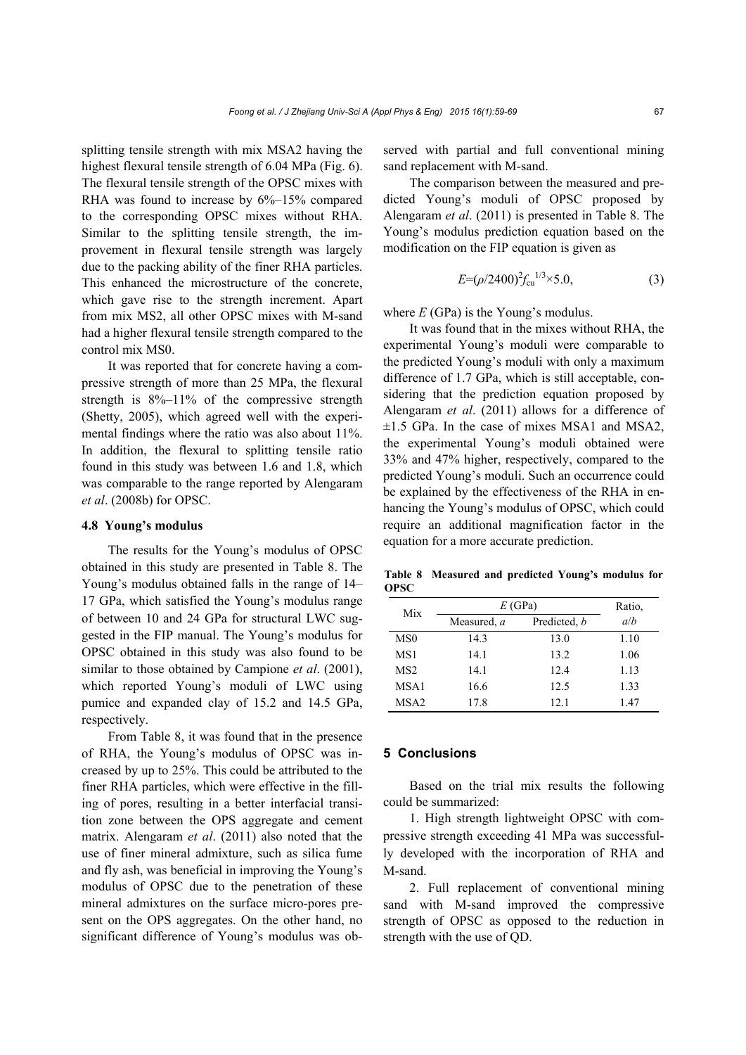splitting tensile strength with mix MSA2 having the highest flexural tensile strength of 6.04 MPa (Fig. 6). The flexural tensile strength of the OPSC mixes with RHA was found to increase by  $6\%$ -15% compared to the corresponding OPSC mixes without RHA. Similar to the splitting tensile strength, the improvement in flexural tensile strength was largely due to the packing ability of the finer RHA particles. This enhanced the microstructure of the concrete, which gave rise to the strength increment. Apart from mix MS2, all other OPSC mixes with M-sand had a higher flexural tensile strength compared to the control mix MS0.

It was reported that for concrete having a compressive strength of more than 25 MPa, the flexural strength is 8%–11% of the compressive strength (Shetty, 2005), which agreed well with the experimental findings where the ratio was also about 11%. In addition, the flexural to splitting tensile ratio found in this study was between 1.6 and 1.8, which was comparable to the range reported by Alengaram *et al*. (2008b) for OPSC.

#### **4.8 Young's modulus**

The results for the Young's modulus of OPSC obtained in this study are presented in Table 8. The Young's modulus obtained falls in the range of 14– 17 GPa, which satisfied the Young's modulus range of between 10 and 24 GPa for structural LWC suggested in the FIP manual. The Young's modulus for OPSC obtained in this study was also found to be similar to those obtained by Campione *et al*. (2001), which reported Young's moduli of LWC using pumice and expanded clay of 15.2 and 14.5 GPa, respectively.

From Table 8, it was found that in the presence of RHA, the Young's modulus of OPSC was increased by up to 25%. This could be attributed to the finer RHA particles, which were effective in the filling of pores, resulting in a better interfacial transition zone between the OPS aggregate and cement matrix. Alengaram *et al*. (2011) also noted that the use of finer mineral admixture, such as silica fume and fly ash, was beneficial in improving the Young's modulus of OPSC due to the penetration of these mineral admixtures on the surface micro-pores present on the OPS aggregates. On the other hand, no significant difference of Young's modulus was observed with partial and full conventional mining sand replacement with M-sand.

The comparison between the measured and predicted Young's moduli of OPSC proposed by Alengaram *et al*. (2011) is presented in Table 8. The Young's modulus prediction equation based on the modification on the FIP equation is given as

$$
E = (\rho/2400)^2 f_{\rm cu}^{1/3} \times 5.0,\tag{3}
$$

where *E* (GPa) is the Young's modulus.

It was found that in the mixes without RHA, the experimental Young's moduli were comparable to the predicted Young's moduli with only a maximum difference of 1.7 GPa, which is still acceptable, considering that the prediction equation proposed by Alengaram *et al*. (2011) allows for a difference of  $\pm 1.5$  GPa. In the case of mixes MSA1 and MSA2, the experimental Young's moduli obtained were 33% and 47% higher, respectively, compared to the predicted Young's moduli. Such an occurrence could be explained by the effectiveness of the RHA in enhancing the Young's modulus of OPSC, which could require an additional magnification factor in the equation for a more accurate prediction.

**Table 8 Measured and predicted Young's modulus for OPSC** 

| Mix              | E(GPa)      | Ratio.       |      |
|------------------|-------------|--------------|------|
|                  | Measured, a | Predicted, b | a/b  |
| MS <sub>0</sub>  | 14.3        | 13.0         | 1.10 |
| MS1              | 14.1        | 13.2         | 1.06 |
| MS <sub>2</sub>  | 14.1        | 12.4         | 1.13 |
| MSA1             | 16.6        | 12.5         | 1.33 |
| MSA <sub>2</sub> | 17.8        | 12.1         | 1.47 |

# **5 Conclusions**

Based on the trial mix results the following could be summarized:

1. High strength lightweight OPSC with compressive strength exceeding 41 MPa was successfully developed with the incorporation of RHA and M-sand.

2. Full replacement of conventional mining sand with M-sand improved the compressive strength of OPSC as opposed to the reduction in strength with the use of QD.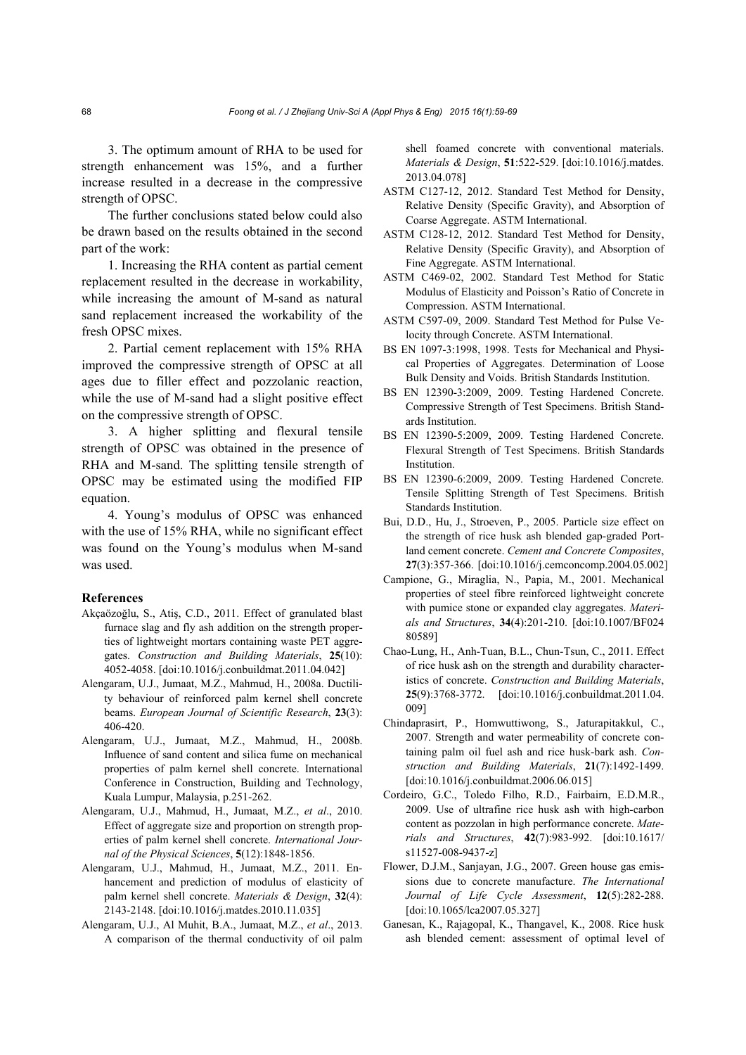3. The optimum amount of RHA to be used for strength enhancement was 15%, and a further increase resulted in a decrease in the compressive strength of OPSC.

The further conclusions stated below could also be drawn based on the results obtained in the second part of the work:

1. Increasing the RHA content as partial cement replacement resulted in the decrease in workability, while increasing the amount of M-sand as natural sand replacement increased the workability of the fresh OPSC mixes.

2. Partial cement replacement with 15% RHA improved the compressive strength of OPSC at all ages due to filler effect and pozzolanic reaction, while the use of M-sand had a slight positive effect on the compressive strength of OPSC.

3. A higher splitting and flexural tensile strength of OPSC was obtained in the presence of RHA and M-sand. The splitting tensile strength of OPSC may be estimated using the modified FIP equation.

4. Young's modulus of OPSC was enhanced with the use of 15% RHA, while no significant effect was found on the Young's modulus when M-sand was used.

#### **References**

- Akçaözoğlu, S., Atiş, C.D., 2011. Effect of granulated blast furnace slag and fly ash addition on the strength properties of lightweight mortars containing waste PET aggregates. *Construction and Building Materials*, **25**(10): 4052-4058. [doi:10.1016/j.conbuildmat.2011.04.042]
- Alengaram, U.J., Jumaat, M.Z., Mahmud, H., 2008a. Ductility behaviour of reinforced palm kernel shell concrete beams. *European Journal of Scientific Research*, **23**(3): 406-420.
- Alengaram, U.J., Jumaat, M.Z., Mahmud, H., 2008b. Influence of sand content and silica fume on mechanical properties of palm kernel shell concrete. International Conference in Construction, Building and Technology, Kuala Lumpur, Malaysia, p.251-262.
- Alengaram, U.J., Mahmud, H., Jumaat, M.Z., *et al*., 2010. Effect of aggregate size and proportion on strength properties of palm kernel shell concrete. *International Journal of the Physical Sciences*, **5**(12):1848-1856.
- Alengaram, U.J., Mahmud, H., Jumaat, M.Z., 2011. Enhancement and prediction of modulus of elasticity of palm kernel shell concrete. *Materials & Design*, **32**(4): 2143-2148. [doi:10.1016/j.matdes.2010.11.035]
- Alengaram, U.J., Al Muhit, B.A., Jumaat, M.Z., *et al*., 2013. A comparison of the thermal conductivity of oil palm

shell foamed concrete with conventional materials. *Materials & Design*, **51**:522-529. [doi:10.1016/j.matdes. 2013.04.078]

- ASTM C127-12, 2012. Standard Test Method for Density, Relative Density (Specific Gravity), and Absorption of Coarse Aggregate. ASTM International.
- ASTM C128-12, 2012. Standard Test Method for Density, Relative Density (Specific Gravity), and Absorption of Fine Aggregate. ASTM International.
- ASTM C469-02, 2002. Standard Test Method for Static Modulus of Elasticity and Poisson's Ratio of Concrete in Compression. ASTM International.
- ASTM C597-09, 2009. Standard Test Method for Pulse Velocity through Concrete. ASTM International.
- BS EN 1097-3:1998, 1998. Tests for Mechanical and Physical Properties of Aggregates. Determination of Loose Bulk Density and Voids. British Standards Institution.
- BS EN 12390-3:2009, 2009. Testing Hardened Concrete. Compressive Strength of Test Specimens. British Standards Institution.
- BS EN 12390-5:2009, 2009. Testing Hardened Concrete. Flexural Strength of Test Specimens. British Standards Institution.
- BS EN 12390-6:2009, 2009. Testing Hardened Concrete. Tensile Splitting Strength of Test Specimens. British Standards Institution.
- Bui, D.D., Hu, J., Stroeven, P., 2005. Particle size effect on the strength of rice husk ash blended gap-graded Portland cement concrete. *Cement and Concrete Composites*, **27**(3):357-366. [doi:10.1016/j.cemconcomp.2004.05.002]
- Campione, G., Miraglia, N., Papia, M., 2001. Mechanical properties of steel fibre reinforced lightweight concrete with pumice stone or expanded clay aggregates. *Materials and Structures*, **34**(4):201-210. [doi:10.1007/BF024 80589]
- Chao-Lung, H., Anh-Tuan, B.L., Chun-Tsun, C., 2011. Effect of rice husk ash on the strength and durability characteristics of concrete. *Construction and Building Materials*, **25**(9):3768-3772. [doi:10.1016/j.conbuildmat.2011.04. 009]
- Chindaprasirt, P., Homwuttiwong, S., Jaturapitakkul, C., 2007. Strength and water permeability of concrete containing palm oil fuel ash and rice husk-bark ash. *Construction and Building Materials*, **21**(7):1492-1499. [doi:10.1016/j.conbuildmat.2006.06.015]
- Cordeiro, G.C., Toledo Filho, R.D., Fairbairn, E.D.M.R., 2009. Use of ultrafine rice husk ash with high-carbon content as pozzolan in high performance concrete. *Materials and Structures*, **42**(7):983-992. [doi:10.1617/ s11527-008-9437-z]
- Flower, D.J.M., Sanjayan, J.G., 2007. Green house gas emissions due to concrete manufacture. *The International Journal of Life Cycle Assessment*, **12**(5):282-288. [doi:10.1065/lca2007.05.327]
- Ganesan, K., Rajagopal, K., Thangavel, K., 2008. Rice husk ash blended cement: assessment of optimal level of